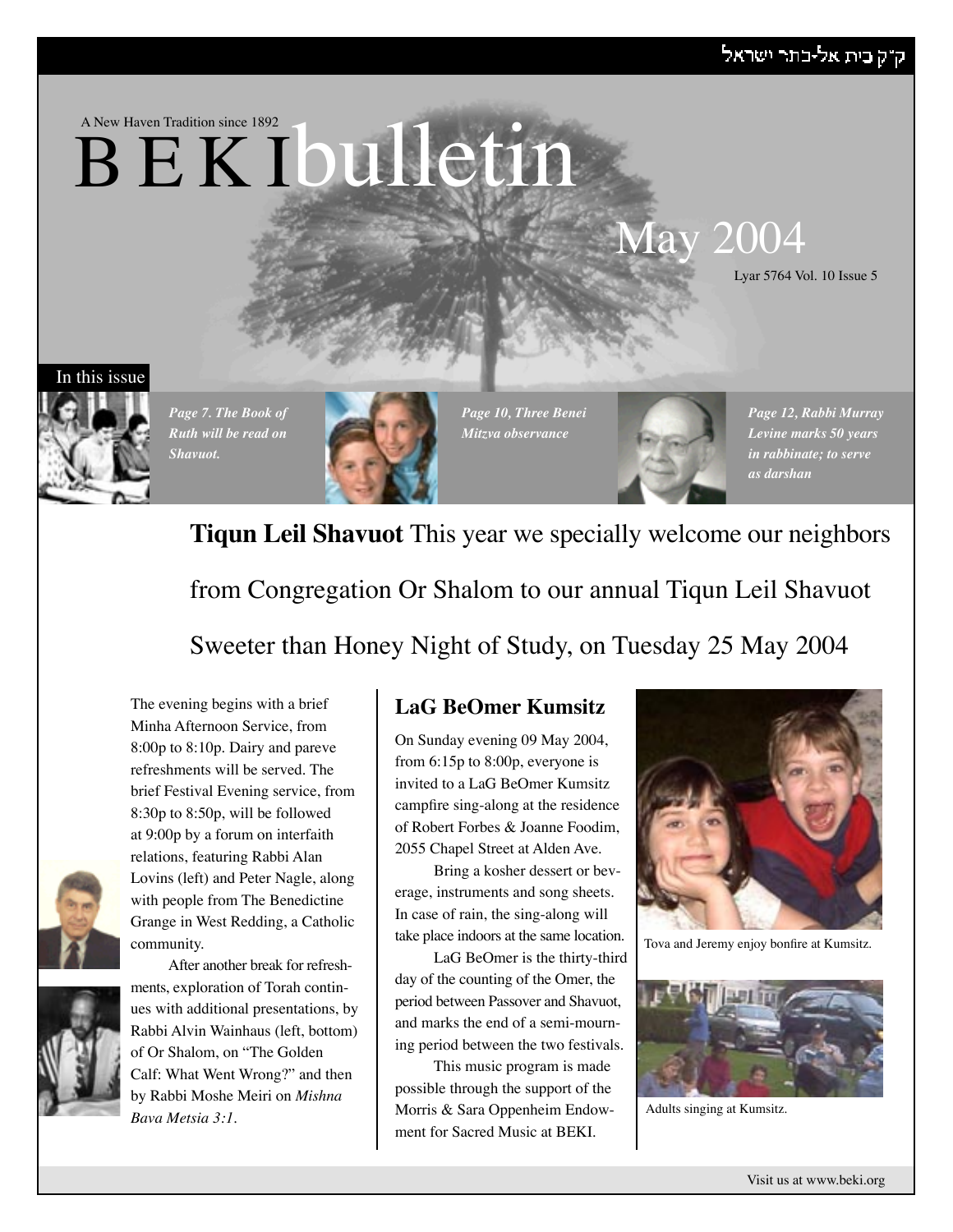## ק"ק בית אל-כתר ישראל





*Page 7. The Book of Ruth will be read on Shavuot.*



*Page 10, Three Benei Mitzva observance*

*Page 12, Rabbi Murray Levine marks 50 years in rabbinate; to serve as darshan*

## **Tiqun Leil Shavuot** This year we specially welcome our neighbors

from Congregation Or Shalom to our annual Tiqun Leil Shavuot

Sweeter than Honey Night of Study, on Tuesday 25 May 2004

The evening begins with a brief Minha Afternoon Service, from 8:00p to 8:10p. Dairy and pareve refreshments will be served. The brief Festival Evening service, from 8:30p to 8:50p, will be followed at 9:00p by a forum on interfaith relations, featuring Rabbi Alan Lovins (left) and Peter Nagle, along with people from The Benedictine Grange in West Redding, a Catholic community.





After another break for refreshments, exploration of Torah continues with additional presentations, by Rabbi Alvin Wainhaus (left, bottom) of Or Shalom, on "The Golden Calf: What Went Wrong?" and then by Rabbi Moshe Meiri on *Mishna Bava Metsia 3:1*.

## **LaG BeOmer Kumsitz**

On Sunday evening 09 May 2004, from 6:15p to 8:00p, everyone is invited to a LaG BeOmer Kumsitz campfire sing-along at the residence of Robert Forbes & Joanne Foodim, 2055 Chapel Street at Alden Ave.

Bring a kosher dessert or beverage, instruments and song sheets. In case of rain, the sing-along will take place indoors at the same location.

LaG BeOmer is the thirty-third day of the counting of the Omer, the period between Passover and Shavuot, and marks the end of a semi-mourning period between the two festivals.

This music program is made possible through the support of the Morris & Sara Oppenheim Endowment for Sacred Music at BEKI.



Tova and Jeremy enjoy bonfire at Kumsitz.



Adults singing at Kumsitz.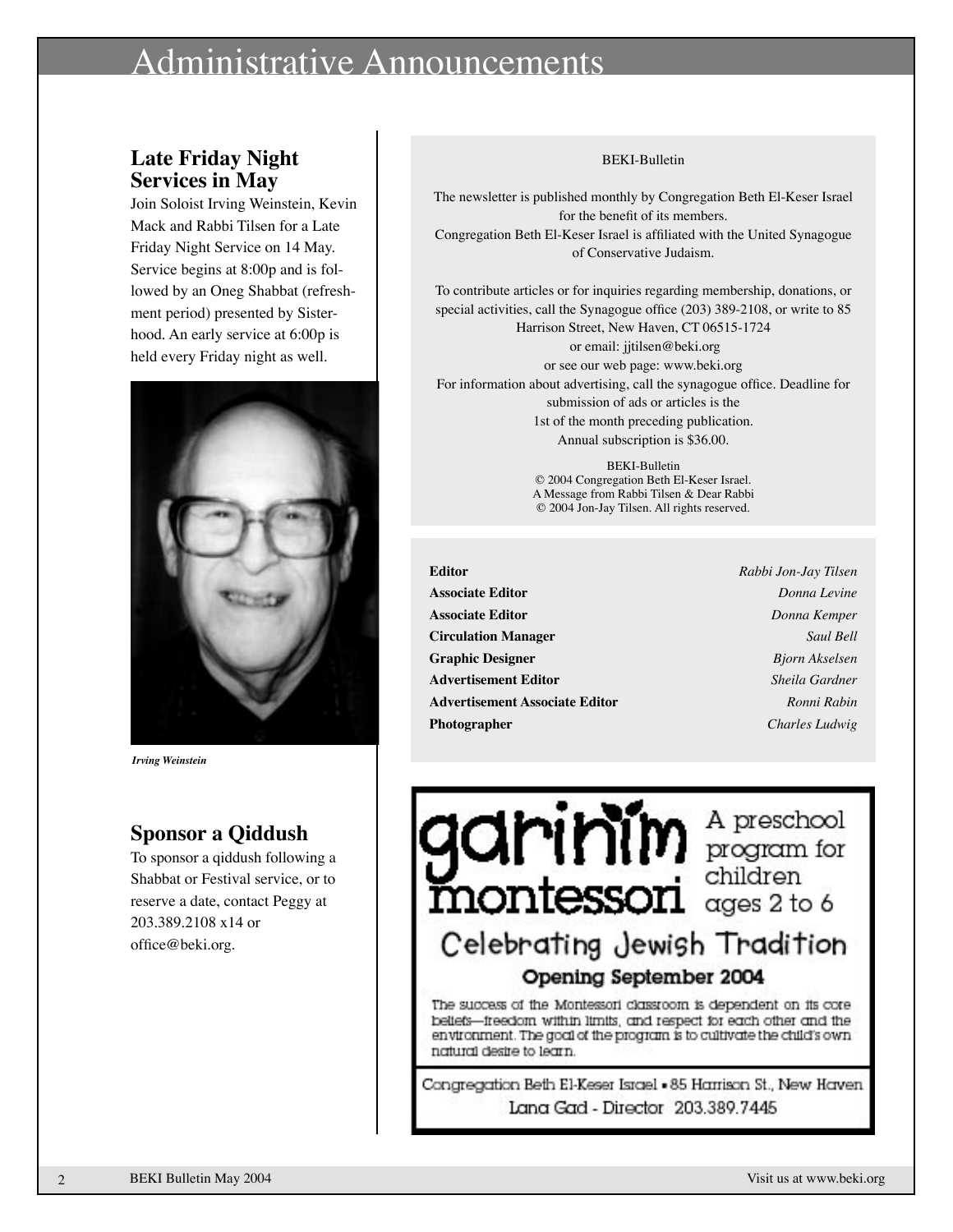## inistrative Announcements

## **Late Friday Night Services in May**

Join Soloist Irving Weinstein, Kevin Mack and Rabbi Tilsen for a Late Friday Night Service on 14 May. Service begins at 8:00p and is followed by an Oneg Shabbat (refreshment period) presented by Sisterhood. An early service at 6:00p is held every Friday night as well.



*Irving Weinstein*

## **Sponsor a Qiddush**

To sponsor a qiddush following a Shabbat or Festival service, or to reserve a date, contact Peggy at 203.389.2108 x14 or office@beki.org.

#### BEKI-Bulletin

The newsletter is published monthly by Congregation Beth El-Keser Israel for the benefit of its members. Congregation Beth El-Keser Israel is affiliated with the United Synagogue of Conservative Judaism.

To contribute articles or for inquiries regarding membership, donations, or special activities, call the Synagogue office (203) 389-2108, or write to 85 Harrison Street, New Haven, CT 06515-1724

 or email: jjtilsen@beki.org or see our web page: www.beki.org For information about advertising, call the synagogue office. Deadline for submission of ads or articles is the 1st of the month preceding publication. Annual subscription is \$36.00.

> BEKI-Bulletin © 2004 Congregation Beth El-Keser Israel. A Message from Rabbi Tilsen & Dear Rabbi © 2004 Jon-Jay Tilsen. All rights reserved.

- **Editor** *Rabbi Jon-Jay Tilsen* **Associate Editor** *Donna Levine* **Associate Editor** *Donna Kemper* **Circulation Manager** *Saul Bell* **Graphic Designer** *Bjorn Akselsen* **Advertisement Editor** *Sheila Gardner* **Advertisement Associate Editor** *Ronni Rabin* **Photographer** *Charles Ludwig*
	-

 $\sum_{\text{mod of } n} \prod_{\text{mod } n} \prod_{\text{mod } n} \text{ for } n$ Celebrating Jewish Tradition Opening September 2004

The success of the Montessori classroom is dependent on its corebeliefs--freedom within limits, and respect for each other and the environment. The goal of the program is to cultivate the child's own natural desire to learn.

Congregation Beth El-Keser Israel - 85 Harrison St., New Haven Lana Gad - Director 203.389.7445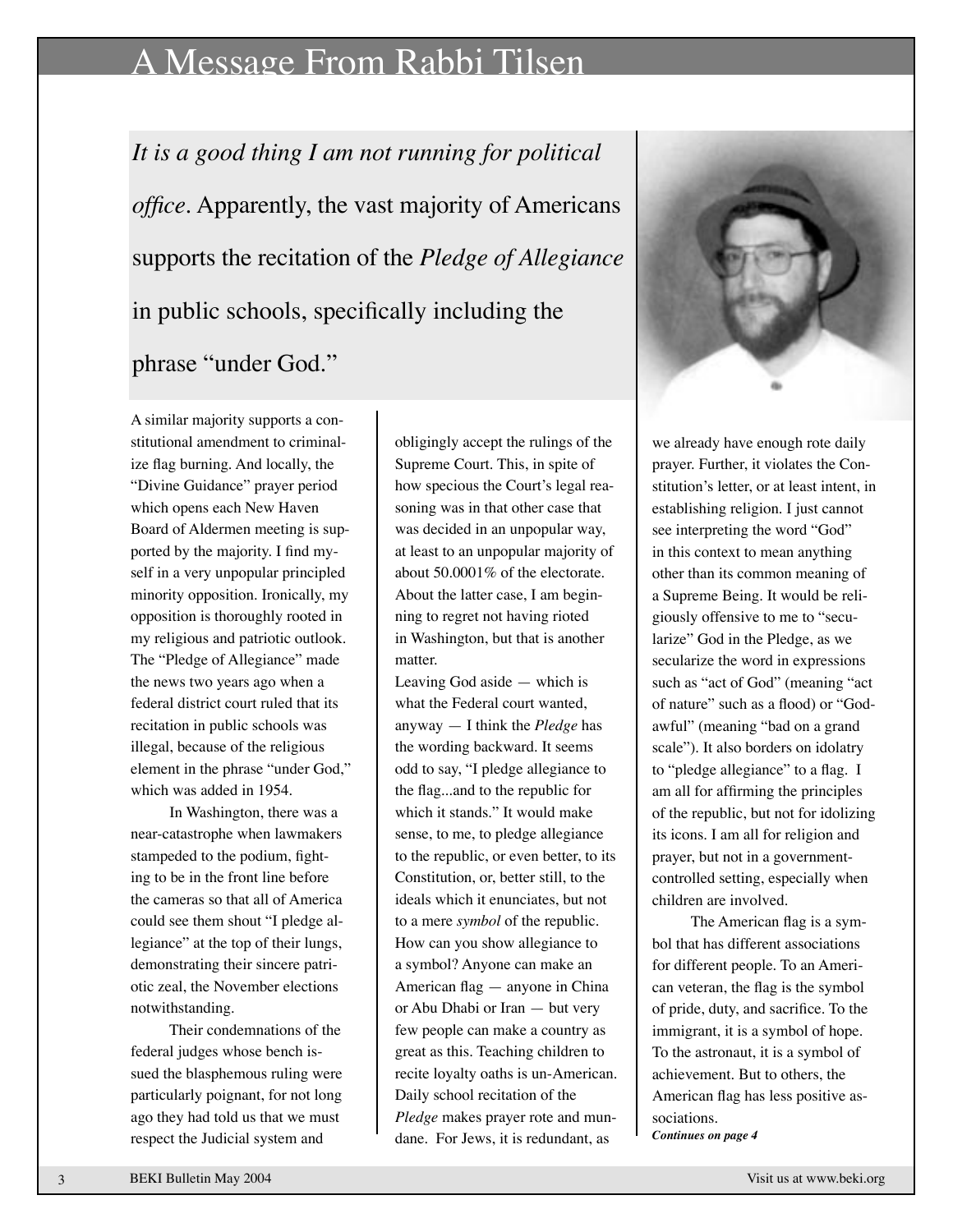## A Message From Rabbi Tilsen

*It is a good thing I am not running for political office.* Apparently, the vast majority of Americans supports the recitation of the *Pledge of Allegiance* in public schools, specifically including the

phrase "under God."



In Washington, there was a near-catastrophe when lawmakers stampeded to the podium, fighting to be in the front line before the cameras so that all of America could see them shout "I pledge allegiance" at the top of their lungs, demonstrating their sincere patriotic zeal, the November elections notwithstanding.

Their condemnations of the federal judges whose bench issued the blasphemous ruling were particularly poignant, for not long ago they had told us that we must respect the Judicial system and

obligingly accept the rulings of the Supreme Court. This, in spite of how specious the Court's legal reasoning was in that other case that was decided in an unpopular way, at least to an unpopular majority of about 50.0001% of the electorate. About the latter case, I am beginning to regret not having rioted in Washington, but that is another matter.

Leaving God aside — which is what the Federal court wanted, anyway — I think the *Pledge* has the wording backward. It seems odd to say, "I pledge allegiance to the flag...and to the republic for which it stands." It would make sense, to me, to pledge allegiance to the republic, or even better, to its Constitution, or, better still, to the ideals which it enunciates, but not to a mere *symbol* of the republic. How can you show allegiance to a symbol? Anyone can make an American flag — anyone in China or Abu Dhabi or Iran — but very few people can make a country as great as this. Teaching children to recite loyalty oaths is un-American. Daily school recitation of the *Pledge* makes prayer rote and mundane. For Jews, it is redundant, as



we already have enough rote daily prayer. Further, it violates the Constitution's letter, or at least intent, in establishing religion. I just cannot see interpreting the word "God" in this context to mean anything other than its common meaning of a Supreme Being. It would be religiously offensive to me to "secularize" God in the Pledge, as we secularize the word in expressions such as "act of God" (meaning "act of nature" such as a flood) or "Godawful" (meaning "bad on a grand scale"). It also borders on idolatry to "pledge allegiance" to a flag. I am all for affirming the principles of the republic, but not for idolizing its icons. I am all for religion and prayer, but not in a governmentcontrolled setting, especially when children are involved.

The American flag is a symbol that has different associations for different people. To an American veteran, the flag is the symbol of pride, duty, and sacrifice. To the immigrant, it is a symbol of hope. To the astronaut, it is a symbol of achievement. But to others, the American flag has less positive associations.

*Continues on page 4*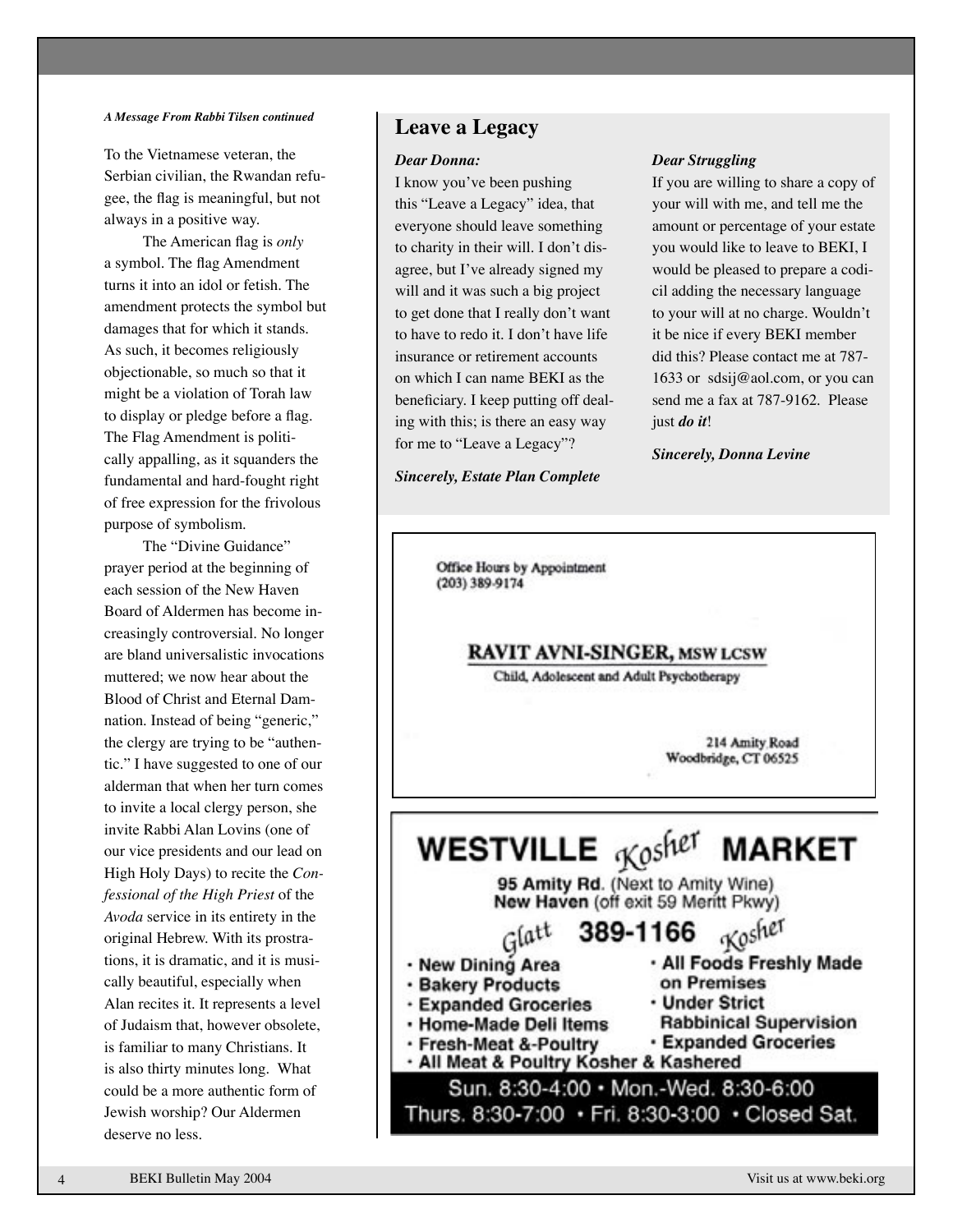#### *A Message From Rabbi Tilsen continued*

To the Vietnamese veteran, the Serbian civilian, the Rwandan refugee, the flag is meaningful, but not always in a positive way.

The American flag is *only* a symbol. The flag Amendment turns it into an idol or fetish. The amendment protects the symbol but damages that for which it stands. As such, it becomes religiously objectionable, so much so that it might be a violation of Torah law to display or pledge before a flag. The Flag Amendment is politically appalling, as it squanders the fundamental and hard-fought right of free expression for the frivolous purpose of symbolism.

The "Divine Guidance" prayer period at the beginning of each session of the New Haven Board of Aldermen has become increasingly controversial. No longer are bland universalistic invocations muttered; we now hear about the Blood of Christ and Eternal Damnation. Instead of being "generic," the clergy are trying to be "authentic." I have suggested to one of our alderman that when her turn comes to invite a local clergy person, she invite Rabbi Alan Lovins (one of our vice presidents and our lead on High Holy Days) to recite the *Confessional of the High Priest* of the *Avoda* service in its entirety in the original Hebrew. With its prostrations, it is dramatic, and it is musically beautiful, especially when Alan recites it. It represents a level of Judaism that, however obsolete, is familiar to many Christians. It is also thirty minutes long. What could be a more authentic form of Jewish worship? Our Aldermen deserve no less.

### **Leave a Legacy**

#### *Dear Donna:*

ing with this; is there an easy way I know you've been pushing this "Leave a Legacy" idea, that everyone should leave something to charity in their will. I don't disagree, but I've already signed my will and it was such a big project to get done that I really don't want to have to redo it. I don't have life insurance or retirement accounts on which I can name BEKI as the beneficiary. I keep putting off dealfor me to "Leave a Legacy"?

*Sincerely, Estate Plan Complete*

#### *Dear Struggling*

If you are willing to share a copy of your will with me, and tell me the amount or percentage of your estate you would like to leave to BEKI, I would be pleased to prepare a codicil adding the necessary language to your will at no charge. Wouldn't it be nice if every BEKI member did this? Please contact me at 787- 1633 or sdsij@aol.com, or you can send me a fax at 787-9162. Please just *do it*!

*Sincerely, Donna Levine*

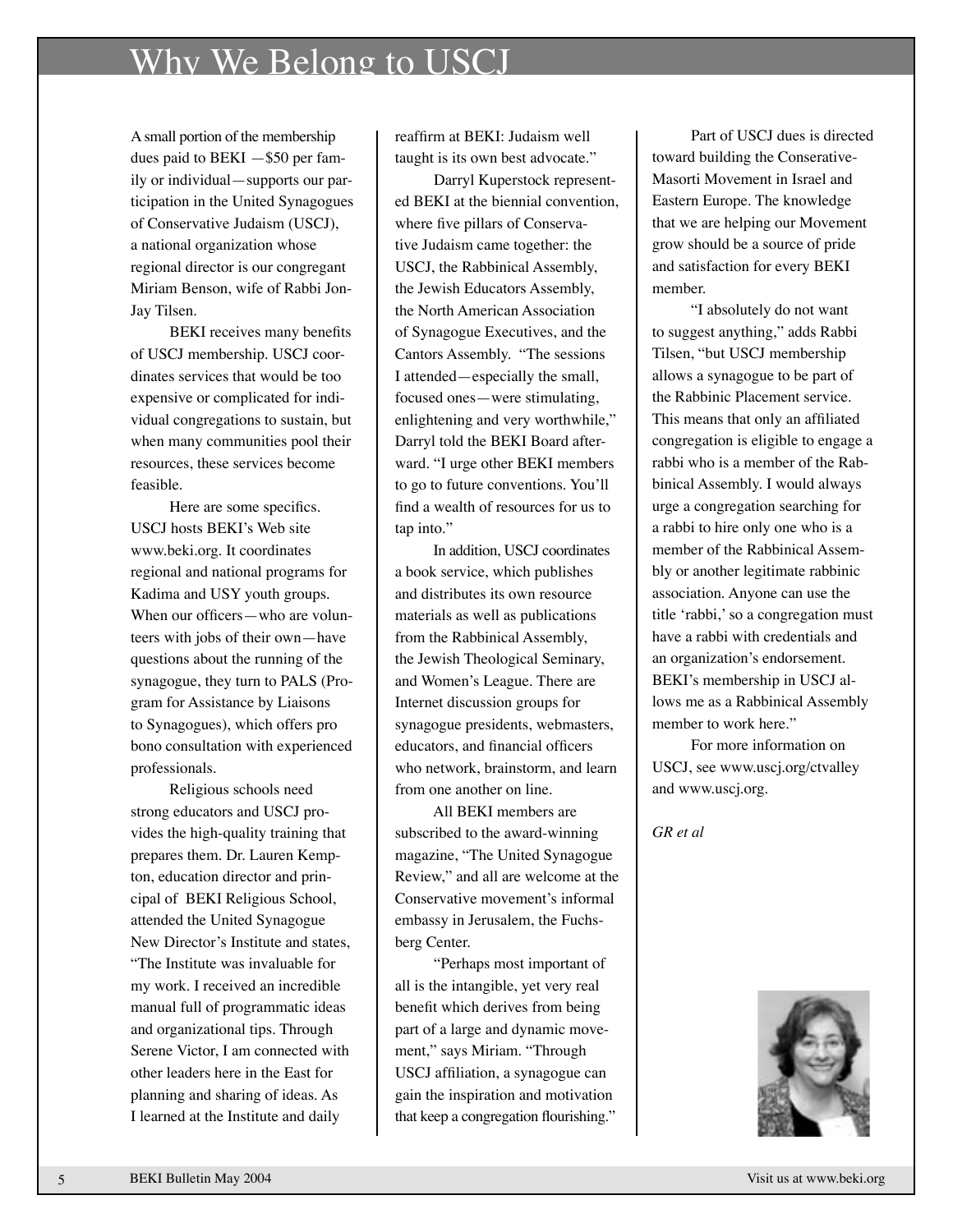## Why We Belong to USCJ

A small portion of the membership dues paid to  $BEKI - $50$  per family or individual—supports our participation in the United Synagogues of Conservative Judaism (USCJ), a national organization whose regional director is our congregant Miriam Benson, wife of Rabbi Jon-Jay Tilsen.

BEKI receives many benefits of USCJ membership. USCJ coordinates services that would be too expensive or complicated for individual congregations to sustain, but when many communities pool their resources, these services become feasible.

Here are some specifics. USCJ hosts BEKI's Web site www.beki.org. It coordinates regional and national programs for Kadima and USY youth groups. When our officers—who are volunteers with jobs of their own—have questions about the running of the synagogue, they turn to PALS (Program for Assistance by Liaisons to Synagogues), which offers pro bono consultation with experienced professionals.

Religious schools need strong educators and USCJ provides the high-quality training that prepares them. Dr. Lauren Kempton, education director and principal of BEKI Religious School, attended the United Synagogue New Director's Institute and states, "The Institute was invaluable for my work. I received an incredible manual full of programmatic ideas and organizational tips. Through Serene Victor, I am connected with other leaders here in the East for planning and sharing of ideas. As I learned at the Institute and daily

reaffirm at BEKI: Judaism well taught is its own best advocate."

Darryl Kuperstock represented BEKI at the biennial convention, where five pillars of Conservative Judaism came together: the USCJ, the Rabbinical Assembly, the Jewish Educators Assembly, the North American Association of Synagogue Executives, and the Cantors Assembly. "The sessions I attended—especially the small, focused ones—were stimulating, enlightening and very worthwhile," Darryl told the BEKI Board afterward. "I urge other BEKI members to go to future conventions. You'll find a wealth of resources for us to tap into."

In addition, USCJ coordinates a book service, which publishes and distributes its own resource materials as well as publications from the Rabbinical Assembly, the Jewish Theological Seminary, and Women's League. There are Internet discussion groups for synagogue presidents, webmasters, educators, and financial officers who network, brainstorm, and learn from one another on line.

All BEKI members are subscribed to the award-winning magazine, "The United Synagogue Review," and all are welcome at the Conservative movement's informal embassy in Jerusalem, the Fuchsberg Center.

"Perhaps most important of all is the intangible, yet very real benefit which derives from being part of a large and dynamic movement," says Miriam. "Through USCJ affiliation, a synagogue can gain the inspiration and motivation that keep a congregation flourishing."

Part of USCJ dues is directed toward building the Conserative-Masorti Movement in Israel and Eastern Europe. The knowledge that we are helping our Movement grow should be a source of pride and satisfaction for every BEKI member.

"I absolutely do not want to suggest anything," adds Rabbi Tilsen, "but USCJ membership allows a synagogue to be part of the Rabbinic Placement service. This means that only an affiliated congregation is eligible to engage a rabbi who is a member of the Rabbinical Assembly. I would always urge a congregation searching for a rabbi to hire only one who is a member of the Rabbinical Assembly or another legitimate rabbinic association. Anyone can use the title ʻrabbi,' so a congregation must have a rabbi with credentials and an organization's endorsement. BEKI's membership in USCJ allows me as a Rabbinical Assembly member to work here."

For more information on USCJ, see www.uscj.org/ctvalley and www.uscj.org.

*GR et al*

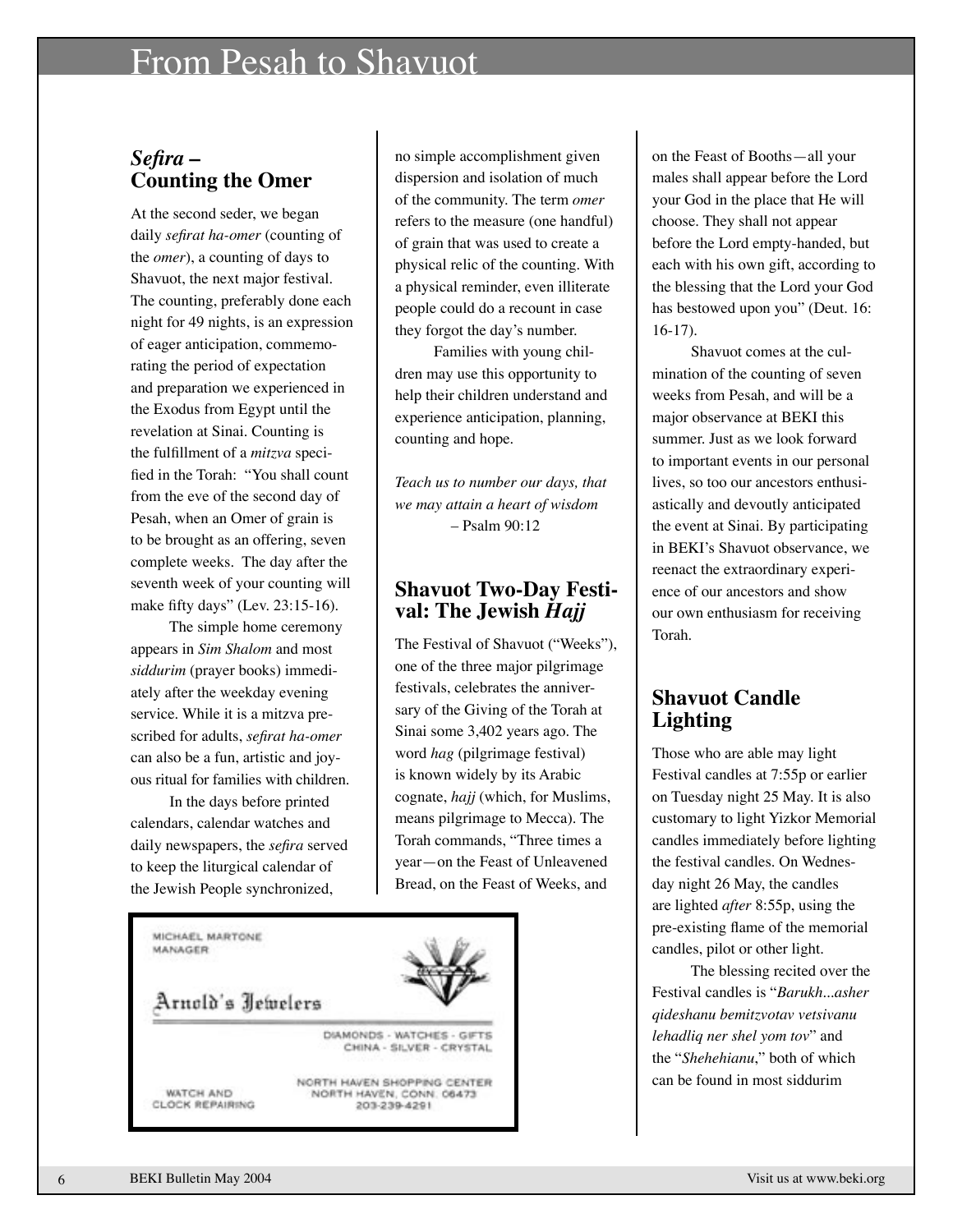## From Pesah to Shavuot

### *Sefira* **– Counting the Omer**

At the second seder, we began daily *sefirat ha-omer* (counting of the *omer*), a counting of days to Shavuot, the next major festival. The counting, preferably done each night for 49 nights, is an expression of eager anticipation, commemorating the period of expectation and preparation we experienced in the Exodus from Egypt until the revelation at Sinai. Counting is the fulfillment of a *mitzva* specified in the Torah: "You shall count from the eve of the second day of Pesah, when an Omer of grain is to be brought as an offering, seven complete weeks. The day after the seventh week of your counting will make fifty days" (Lev. 23:15-16).

The simple home ceremony appears in *Sim Shalom* and most *siddurim* (prayer books) immediately after the weekday evening service. While it is a mitzva prescribed for adults, *sefirat ha-omer* can also be a fun, artistic and joyous ritual for families with children.

In the days before printed calendars, calendar watches and daily newspapers, the *sefira* served to keep the liturgical calendar of the Jewish People synchronized,

no simple accomplishment given dispersion and isolation of much of the community. The term *omer* refers to the measure (one handful) of grain that was used to create a physical relic of the counting. With a physical reminder, even illiterate people could do a recount in case they forgot the day's number.

Families with young children may use this opportunity to help their children understand and experience anticipation, planning, counting and hope.

*Teach us to number our days, that we may attain a heart of wisdom* – Psalm 90:12

# **Shavuot Two-Day Festi- val: The Jewish** *Hajj*

The Festival of Shavuot ("Weeks"), one of the three major pilgrimage festivals, celebrates the anniversary of the Giving of the Torah at Sinai some 3,402 years ago. The word *hag* (pilgrimage festival) is known widely by its Arabic cognate, *hajj* (which, for Muslims, means pilgrimage to Mecca). The Torah commands, "Three times a year—on the Feast of Unleavened Bread, on the Feast of Weeks, and



on the Feast of Booths—all your males shall appear before the Lord your God in the place that He will choose. They shall not appear before the Lord empty-handed, but each with his own gift, according to the blessing that the Lord your God has bestowed upon you" (Deut. 16: 16-17).

Shavuot comes at the culmination of the counting of seven weeks from Pesah, and will be a major observance at BEKI this summer. Just as we look forward to important events in our personal lives, so too our ancestors enthusiastically and devoutly anticipated the event at Sinai. By participating in BEKI's Shavuot observance, we reenact the extraordinary experience of our ancestors and show our own enthusiasm for receiving Torah.

### **Shavuot Candle Lighting**

Those who are able may light Festival candles at 7:55p or earlier on Tuesday night 25 May. It is also customary to light Yizkor Memorial candles immediately before lighting the festival candles. On Wednesday night 26 May, the candles are lighted *after* 8:55p, using the pre-existing flame of the memorial candles, pilot or other light.

The blessing recited over the Festival candles is "*Barukh...asher qideshanu bemitzvotav vetsivanu lehadliq ner shel yom tov*" and the "*Shehehianu*," both of which can be found in most siddurim

6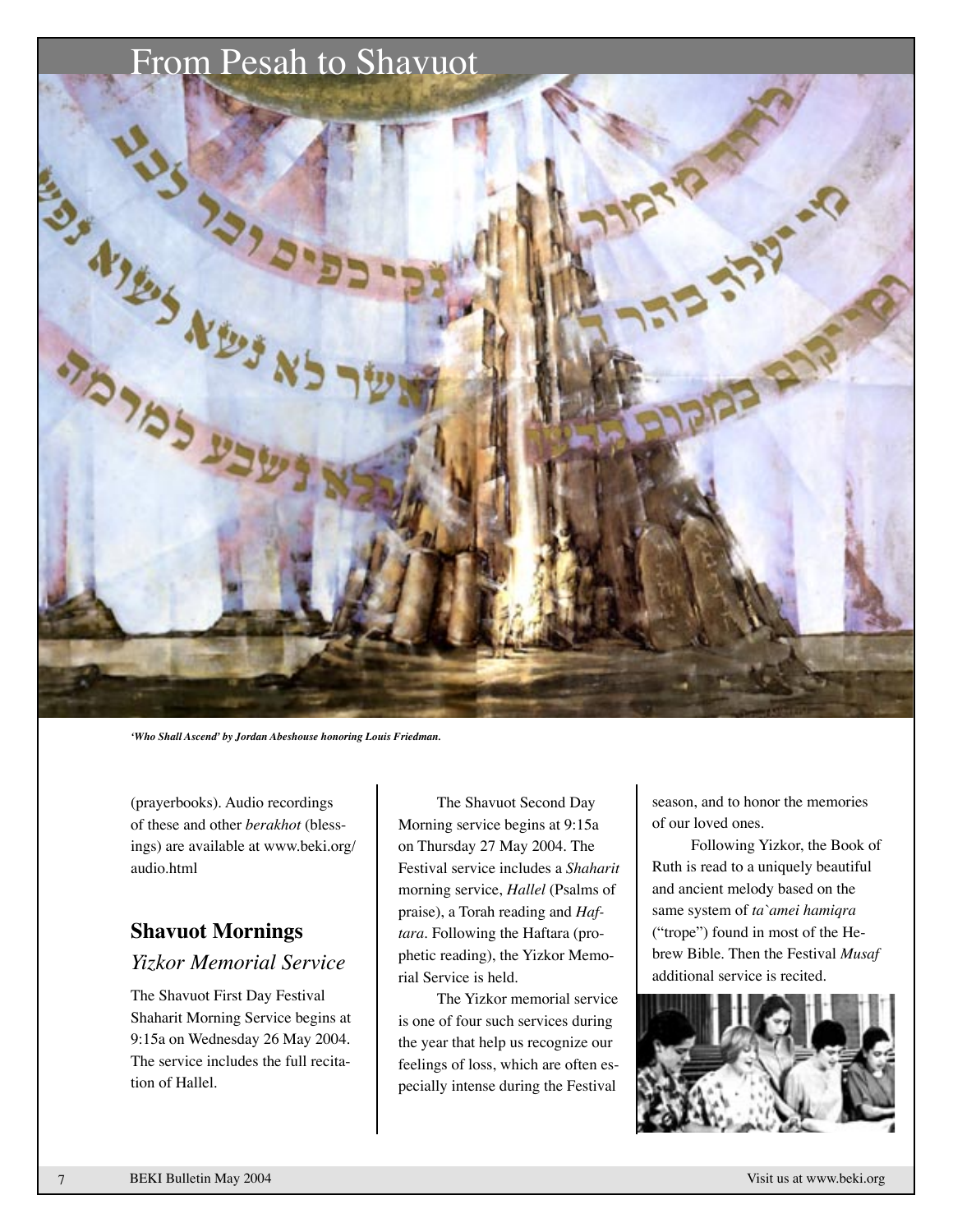## From Pesah to Shavuot



*ʻWho Shall Ascend' by Jordan Abeshouse honoring Louis Friedman.*

(prayerbooks). Audio recordings of these and other *berakhot* (blessings) are available at www.beki.org/ audio.html

### **Shavuot Mornings**  *Yizkor Memorial Service*

The Shavuot First Day Festival Shaharit Morning Service begins at 9:15a on Wednesday 26 May 2004. The service includes the full recitation of Hallel.

The Shavuot Second Day Morning service begins at 9:15a on Thursday 27 May 2004. The Festival service includes a *Shaharit* morning service, *Hallel* (Psalms of praise), a Torah reading and *Haftara.* Following the Haftara (prophetic reading), the Yizkor Memorial Service is held.

The Yizkor memorial service is one of four such services during the year that help us recognize our feelings of loss, which are often especially intense during the Festival

season, and to honor the memories of our loved ones.

Following Yizkor, the Book of Ruth is read to a uniquely beautiful and ancient melody based on the same system of *ta`amei hamiqra* ("trope") found in most of the Hebrew Bible. Then the Festival *Musaf* additional service is recited.

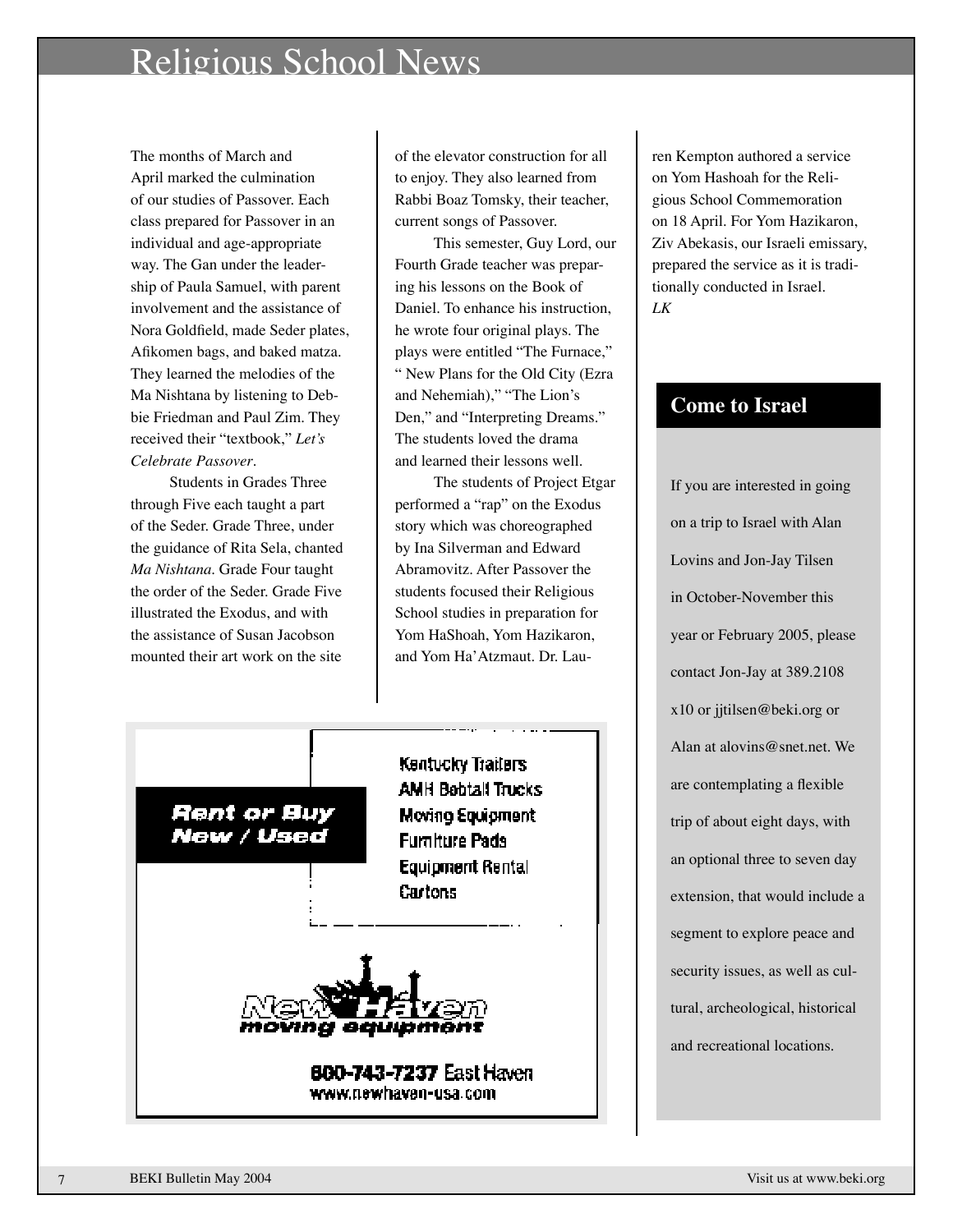## Religious School News

The months of March and April marked the culmination of our studies of Passover. Each class prepared for Passover in an individual and age-appropriate way. The Gan under the leadership of Paula Samuel, with parent involvement and the assistance of Nora Goldfield, made Seder plates, Afikomen bags, and baked matza. They learned the melodies of the Ma Nishtana by listening to Debbie Friedman and Paul Zim. They received their "textbook," *Let's Celebrate Passover*.

Students in Grades Three through Five each taught a part of the Seder. Grade Three, under the guidance of Rita Sela, chanted *Ma Nishtana*. Grade Four taught the order of the Seder. Grade Five illustrated the Exodus, and with the assistance of Susan Jacobson mounted their art work on the site

of the elevator construction for all to enjoy. They also learned from Rabbi Boaz Tomsky, their teacher, current songs of Passover.

This semester, Guy Lord, our Fourth Grade teacher was preparing his lessons on the Book of Daniel. To enhance his instruction, he wrote four original plays. The plays were entitled "The Furnace," " New Plans for the Old City (Ezra and Nehemiah)," "The Lion's Den," and "Interpreting Dreams." The students loved the drama and learned their lessons well.

The students of Project Etgar performed a "rap" on the Exodus story which was choreographed by Ina Silverman and Edward Abramovitz. After Passover the students focused their Religious School studies in preparation for Yom HaShoah, Yom Hazikaron, and Yom Ha'Atzmaut. Dr. Lau-



www.newhavan-usa.com

ren Kempton authored a service on Yom Hashoah for the Religious School Commemoration on 18 April. For Yom Hazikaron, Ziv Abekasis, our Israeli emissary, prepared the service as it is traditionally conducted in Israel. *LK*

## **Come to Israel**

If you are interested in going on a trip to Israel with Alan Lovins and Jon-Jay Tilsen in October-November this year or February 2005, please contact Jon-Jay at 389.2108 x10 or jjtilsen@beki.org or Alan at alovins@snet.net. We are contemplating a flexible trip of about eight days, with an optional three to seven day extension, that would include a segment to explore peace and security issues, as well as cultural, archeological, historical and recreational locations.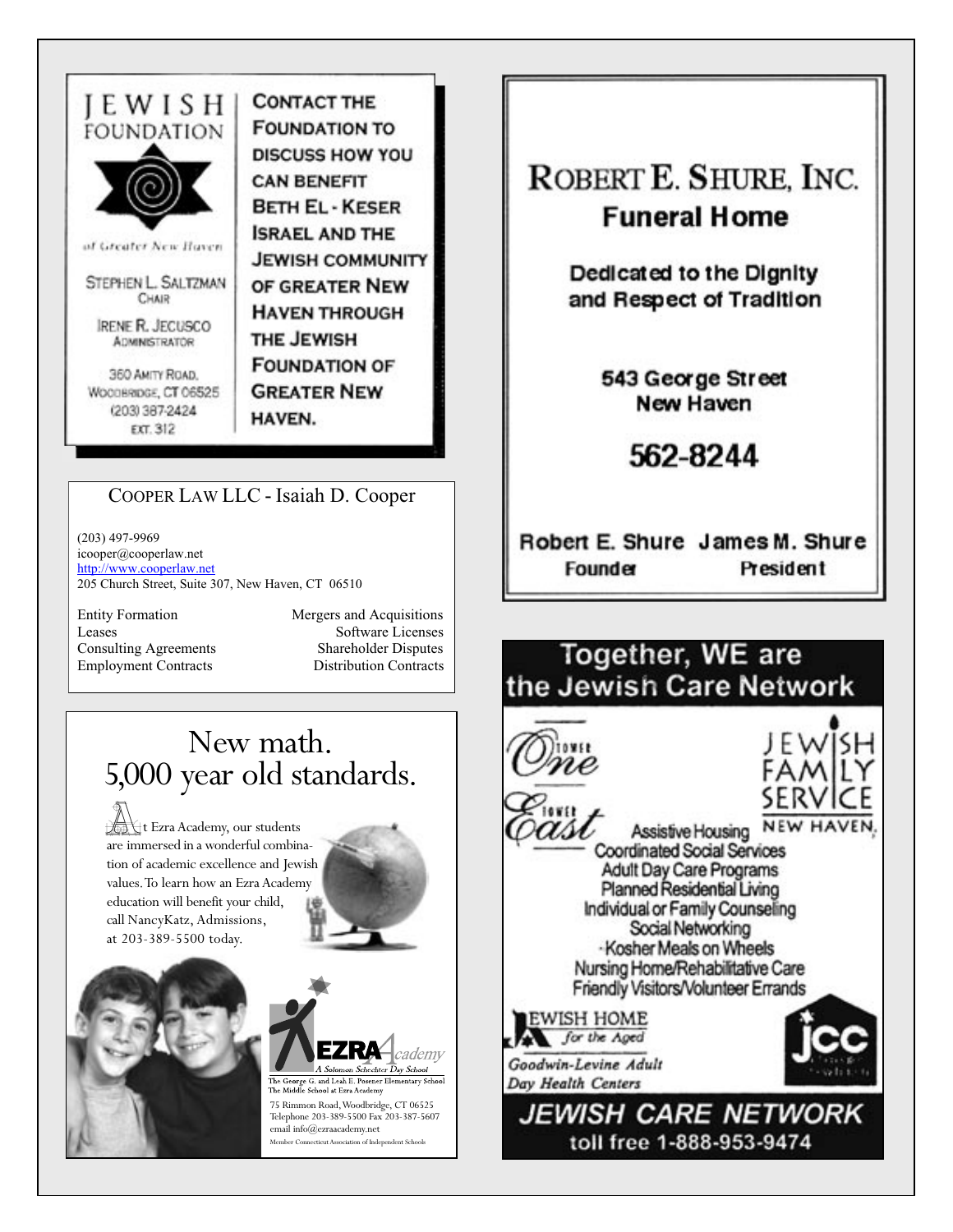

**IEWISHI** 

of Greater New Haven

STEPHEN L. SALTZMAN CHAIR

**IRENE R. JECUSCO ADMINISTRATOR** 

360 AMITY ROAD. WOODBRIDGE, CT 06525 (203) 387-2424 EXT. 312

**CONTACT THE FOUNDATION TO DISCUSS HOW YOU CAN BENEFIT BETH EL - KESER ISRAEL AND THE JEWISH COMMUNITY** OF GREATER NEW **HAVEN THROUGH** THE JEWISH **FOUNDATION OF GREATER NEW** HAVEN.

## COOPER LAW LLC - Isaiah D. Cooper

 $(203)$  497-9969 icooper@cooperlaw.net http://www.cooperlaw.net 205 Church Street, Suite 307, New Haven, CT 06510

**Entity Formation** Leases **Consulting Agreements Employment Contracts** 

Mergers and Acquisitions Software Licenses **Shareholder Disputes Distribution Contracts** 

## New math. 5,000 year old standards.

t Ezra Academy, our students are immersed in a wonderful combination of academic excellence and Jewish values. To learn how an Ezra Academy education will benefit your child, call NancyKatz, Admissions, at 203-389-5500 today.







75 Rimmon Road, Woodbridge, CT 06525 Telephone 203-389-5500 Fax 203-387-5607  $\operatorname{email}$  info@ezraacademy.net Member Connecticut Association of Independent Schools





toll free 1-888-953-9474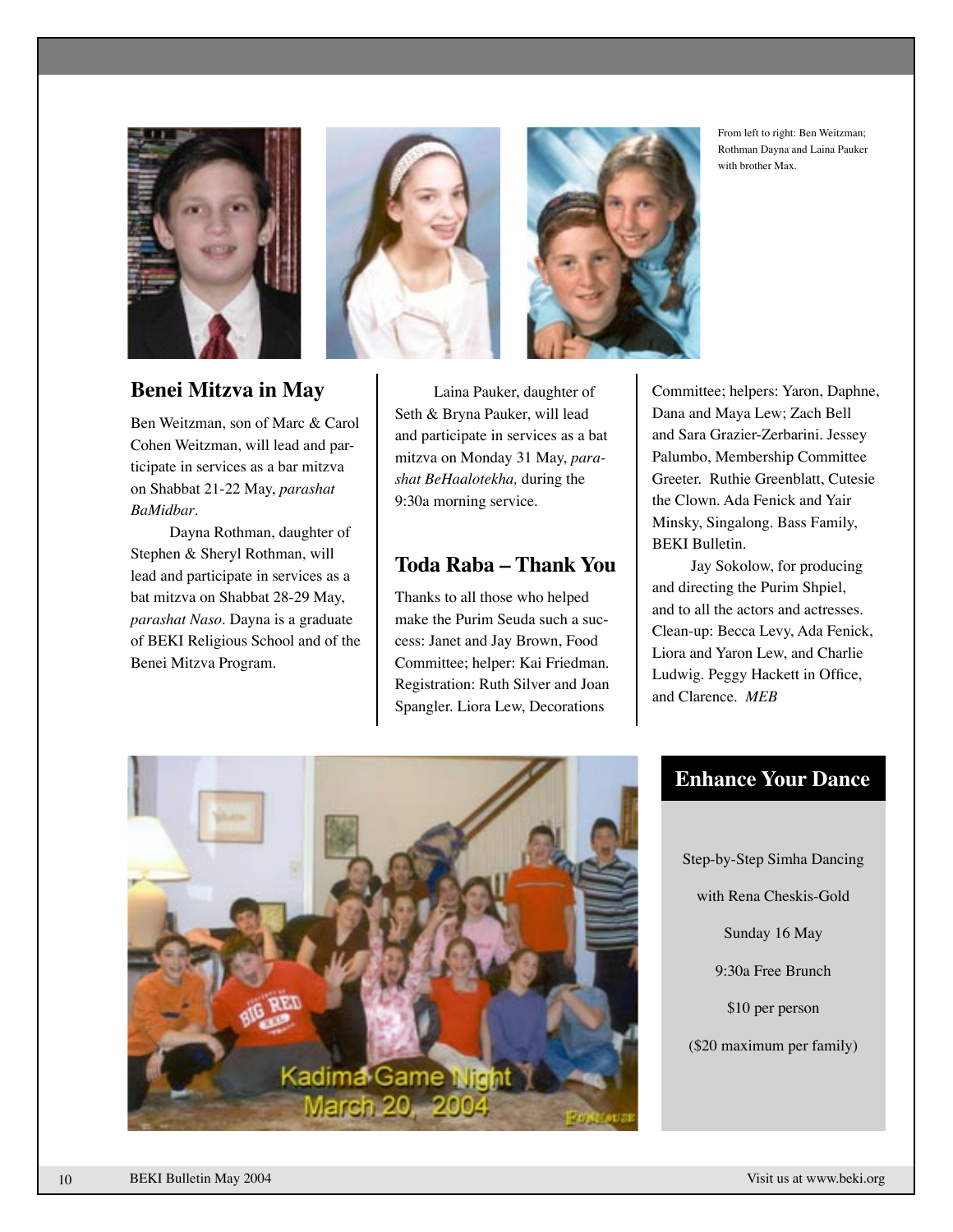





From left to right: Ben Weitzman; Rothman Dayna and Laina Pauker with brother Max.

### **Benei Mitzva in May**

Ben Weitzman, son of Marc & Carol Cohen Weitzman, will lead and participate in services as a bar mitzva on Shabbat 21-22 May, *parashat BaMidbar*.

Dayna Rothman, daughter of Stephen & Sheryl Rothman, will lead and participate in services as a bat mitzva on Shabbat 28-29 May, *parashat Naso*. Dayna is a graduate of BEKI Religious School and of the Benei Mitzva Program.

Laina Pauker, daughter of Seth & Bryna Pauker, will lead and participate in services as a bat mitzva on Monday 31 May, *parashat BeHaalotekha,* during the 9:30a morning service.

### **Toda Raba – Thank You**

Thanks to all those who helped make the Purim Seuda such a success: Janet and Jay Brown, Food Committee; helper: Kai Friedman. Registration: Ruth Silver and Joan Spangler. Liora Lew, Decorations

Committee; helpers: Yaron, Daphne, Dana and Maya Lew; Zach Bell and Sara Grazier-Zerbarini. Jessey Palumbo, Membership Committee Greeter. Ruthie Greenblatt, Cutesie the Clown. Ada Fenick and Yair Minsky, Singalong. Bass Family, BEKI Bulletin.

Jay Sokolow, for producing and directing the Purim Shpiel, and to all the actors and actresses. Clean-up: Becca Levy, Ada Fenick, Liora and Yaron Lew, and Charlie Ludwig. Peggy Hackett in Office, and Clarence. *MEB*

## **Enhance Your Dance**

Step-by-Step Simha Dancing with Rena Cheskis-Gold Sunday 16 May 9:30a Free Brunch \$10 per person (\$20 maximum per family)

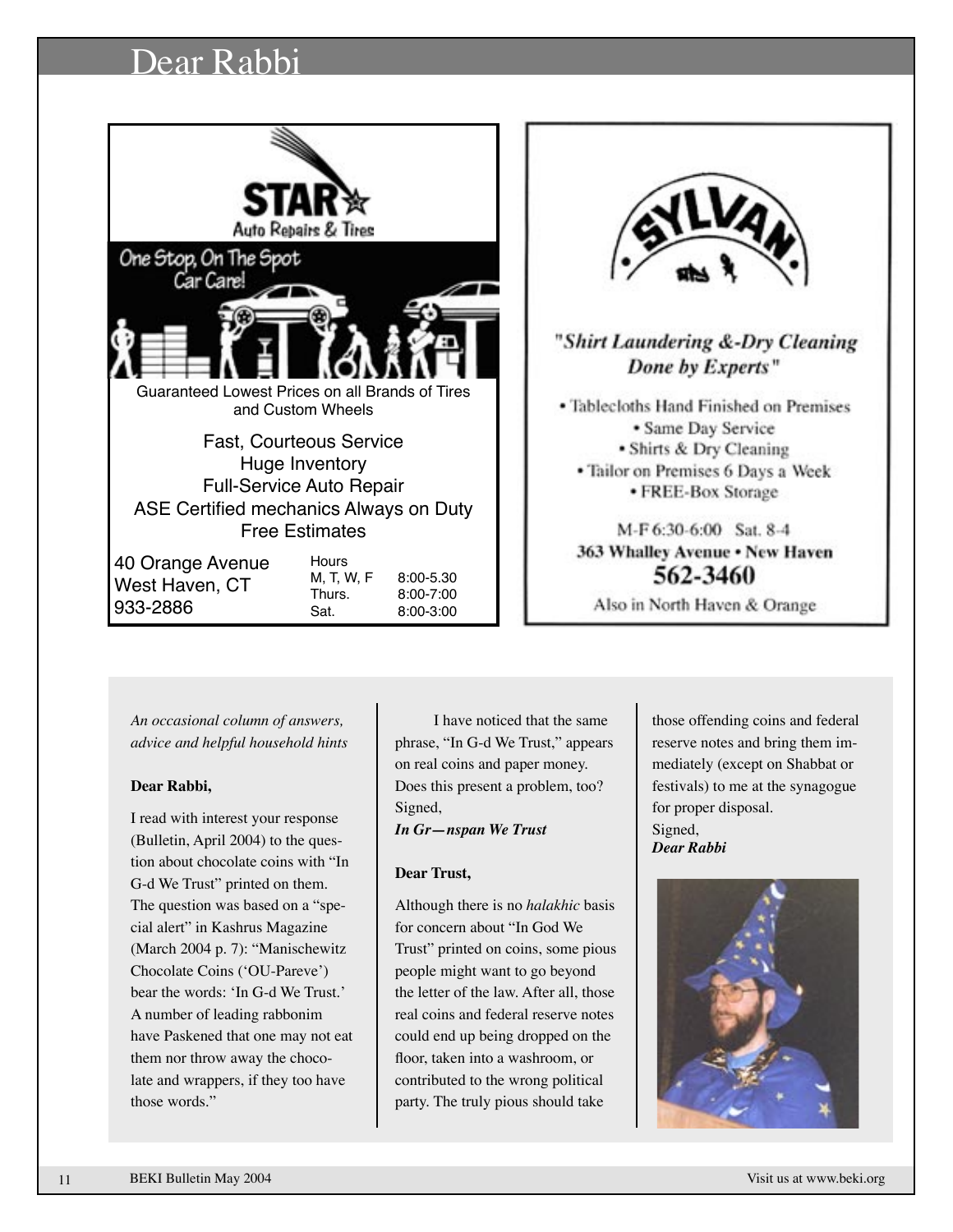## Dear Rabbi





## "Shirt Laundering &-Dry Cleaning Done by Experts"

• Tablecloths Hand Finished on Premises · Same Day Service • Shirts & Dry Cleaning · Tailor on Premises 6 Days a Week • FREE-Box Storage

M-F 6:30-6:00 Sat. 8-4 363 Whalley Avenue . New Haven 562-3460

Also in North Haven & Orange

*An occasional column of answers, advice and helpful household hints*

#### **Dear Rabbi,**

I read with interest your response (Bulletin, April 2004) to the question about chocolate coins with "In G-d We Trust" printed on them. The question was based on a "special alert" in Kashrus Magazine (March 2004 p. 7): "Manischewitz Chocolate Coins (ʻOU-Pareve') bear the words: ʻIn G-d We Trust.' A number of leading rabbonim have Paskened that one may not eat them nor throw away the chocolate and wrappers, if they too have those words."

I have noticed that the same phrase, "In G-d We Trust," appears on real coins and paper money. Does this present a problem, too? Signed,

*In Gr—nspan We Trust*

#### **Dear Trust,**

Although there is no *halakhic* basis for concern about "In God We Trust" printed on coins, some pious people might want to go beyond the letter of the law. After all, those real coins and federal reserve notes could end up being dropped on the floor, taken into a washroom, or contributed to the wrong political party. The truly pious should take

those offending coins and federal reserve notes and bring them immediately (except on Shabbat or festivals) to me at the synagogue for proper disposal. Signed, *Dear Rabbi*



11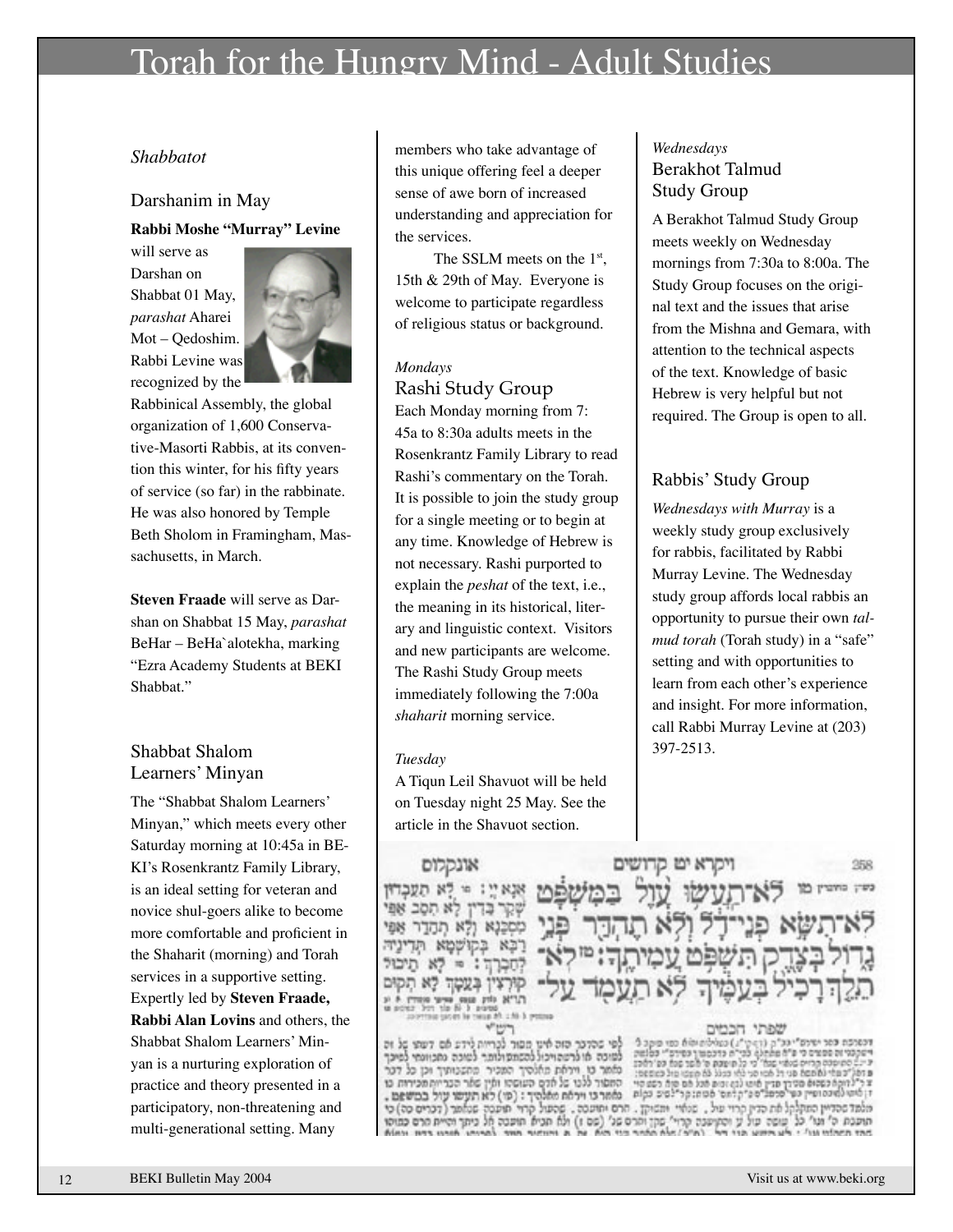## Torah for the Hungry Mind - Adult Studies

#### *Shabbatot*

#### Darshanim in May

#### **Rabbi Moshe "Murray" Levine**

will serve as Darshan on Shabbat 01 May, *parashat* Aharei Mot – Qedoshim. Rabbi Levine was recognized by the



Rabbinical Assembly, the global organization of 1,600 Conservative-Masorti Rabbis, at its convention this winter, for his fifty years of service (so far) in the rabbinate. He was also honored by Temple Beth Sholom in Framingham, Massachusetts, in March.

**Steven Fraade** will serve as Darshan on Shabbat 15 May, *parashat* BeHar – BeHa`alotekha, marking "Ezra Academy Students at BEKI Shabbat."

#### Shabbat Shalom Learners' Minyan

The "Shabbat Shalom Learners' Minyan," which meets every other Saturday morning at 10:45a in BE-KI's Rosenkrantz Family Library, is an ideal setting for veteran and novice shul-goers alike to become more comfortable and proficient in the Shaharit (morning) and Torah services in a supportive setting. Expertly led by **Steven Fraade, Rabbi Alan Lovins** and others, the Shabbat Shalom Learners' Minyan is a nurturing exploration of practice and theory presented in a participatory, non-threatening and multi-generational setting. Many

members who take advantage of this unique offering feel a deeper sense of awe born of increased understanding and appreciation for the services.

The SSLM meets on the 1<sup>st</sup>, 15th & 29th of May. Everyone is welcome to participate regardless of religious status or background.

#### *Mondays*

## Rashi Study Group

Each Monday morning from 7: 45a to 8:30a adults meets in the Rosenkrantz Family Library to read Rashi's commentary on the Torah. It is possible to join the study group for a single meeting or to begin at any time. Knowledge of Hebrew is not necessary. Rashi purported to explain the *peshat* of the text, i.e., the meaning in its historical, literary and linguistic context. Visitors and new participants are welcome. The Rashi Study Group meets immediately following the 7:00a *shaharit* morning service.

#### *Tuesday*

A Tiqun Leil Shavuot will be held on Tuesday night 25 May. See the article in the Shavuot section.

#### *Wednesdays* Berakhot Talmud Study Group

A Berakhot Talmud Study Group meets weekly on Wednesday mornings from 7:30a to 8:00a. The Study Group focuses on the original text and the issues that arise from the Mishna and Gemara, with attention to the technical aspects of the text. Knowledge of basic Hebrew is very helpful but not required. The Group is open to all.

### Rabbis' Study Group

*Wednesdays with Murray* is a weekly study group exclusively for rabbis, facilitated by Rabbi Murray Levine. The Wednesday study group affords local rabbis an opportunity to pursue their own *talmud torah* (Torah study) in a "safe" setting and with opportunities to learn from each other's experience and insight. For more information, call Rabbi Murray Levine at (203) 397-2513.

358

אונקלום  $10:19.828$ ן לא הסב אפי 13 ולא תהדר אפי K. שמא תד -87 בעטה לא תק  $^{1}$  $-40.3$ 

c לפי שהדבר הזה אינו מסור לכריות לידע אם דעתי של זה<br>לפיכה או לרעתויכול להשתפולותר לשוכה נמכוונתי לפיכך מאמר בו ויראת מאלהיך המכיר מהשטותיך וכן כל דבר המסור ללנו של אדם העושהו ואין שאר הבריות מכירות כו מאר כי ויראת מאלהיך: (סו) לא תעשו עול במשפט. קרוי תועטה שנאתר (דכרים כה) כי **SYDDE** ולא תכיא תועטה אל כיתך והיית הרם כמוסו **Aim this suda** 

קרא יט קדושים

ה לפי"ח כדכסמון בסירס"י בסומת<br>"כי כל מיצעת ס' אשר שמא עם'ראכז e aña ro orago peropopi cash (diagă du ni àprav úly coid là nabi crit capac): que conos accos es כסטום מסורר מדין סרפליס ניקלתם' מסתוקרילסים כקות לאתו למוכס ופייז כפי מלמד שהדיין המקלקל את הדין קרוי של. שנאיי משוקן. חרם ימיעטה. תוכנת ה' ונו' כל שופה עול ע והתושבה קרוי' פקן והרס פג' (פס ז)<br>הרב המלווי נוו' : לע הייש פני הם "ומיה" את התהר היו הוא מה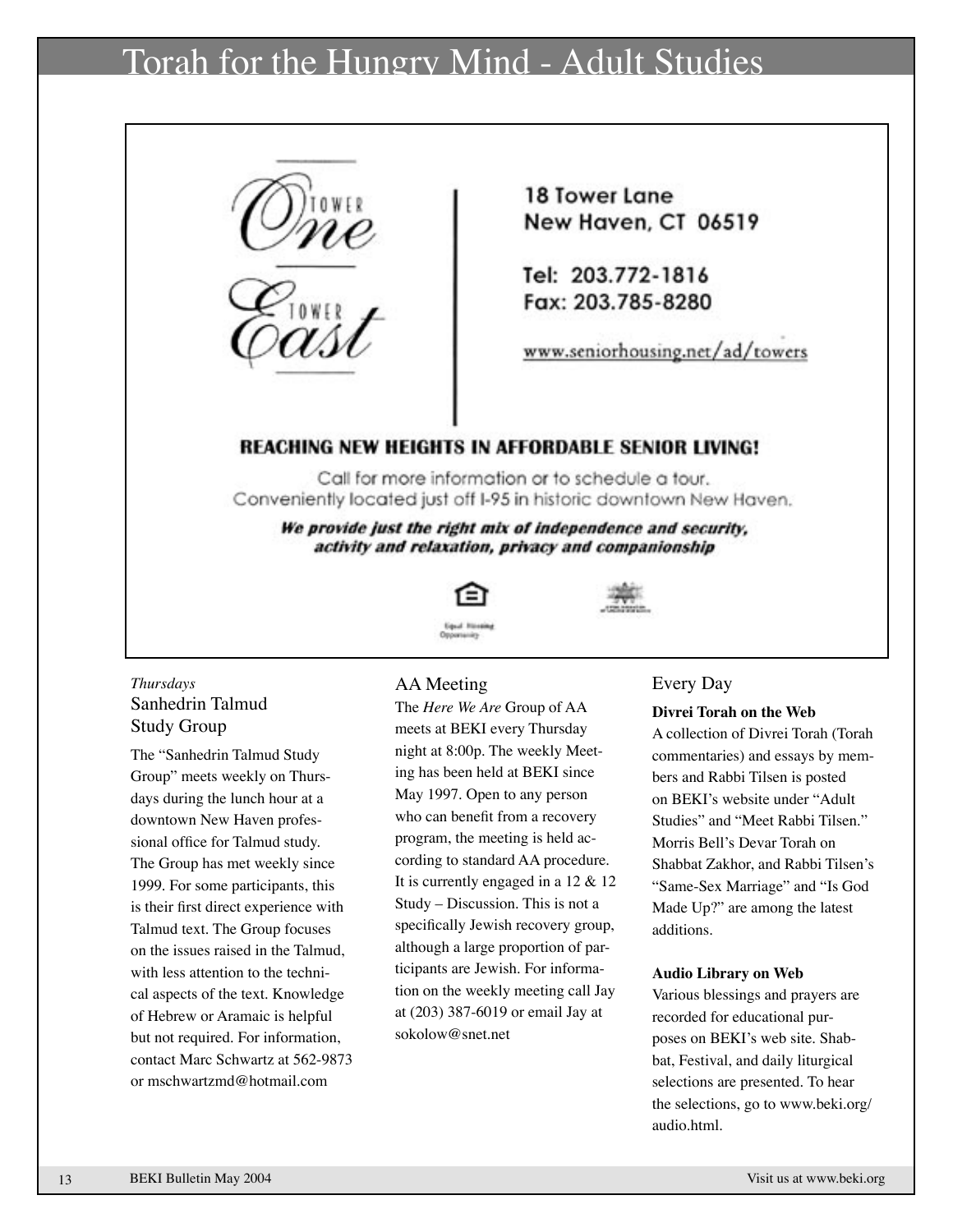## Torah for the Hungry Mind - Adult Studies



18 Tower Lane New Haven, CT 06519

Tel: 203.772-1816 Fax: 203.785-8280

www.seniorhousing.net/ad/towers

### REACHING NEW HEIGHTS IN AFFORDABLE SENIOR LIVING!

Call for more information or to schedule a tour. Conveniently located just off I-95 in historic downtown New Haven.

We provide just the right mix of independence and security, activity and relaxation, privacy and companionship



*Thursdays* Sanhedrin Talmud Study Group

The "Sanhedrin Talmud Study Group" meets weekly on Thursdays during the lunch hour at a downtown New Haven professional office for Talmud study. The Group has met weekly since 1999. For some participants, this is their first direct experience with Talmud text. The Group focuses on the issues raised in the Talmud, with less attention to the technical aspects of the text. Knowledge of Hebrew or Aramaic is helpful but not required. For information, contact Marc Schwartz at 562-9873 or mschwartzmd@hotmail.com

#### AA Meeting

The *Here We Are* Group of AA meets at BEKI every Thursday night at 8:00p. The weekly Meeting has been held at BEKI since May 1997. Open to any person who can benefit from a recovery program, the meeting is held according to standard AA procedure. It is currently engaged in a 12 & 12 Study – Discussion. This is not a specifically Jewish recovery group, although a large proportion of participants are Jewish. For information on the weekly meeting call Jay at (203) 387-6019 or email Jay at sokolow@snet.net

#### Every Day

#### **Divrei Torah on the Web**

A collection of Divrei Torah (Torah commentaries) and essays by members and Rabbi Tilsen is posted on BEKI's website under "Adult Studies" and "Meet Rabbi Tilsen." Morris Bell's Devar Torah on Shabbat Zakhor, and Rabbi Tilsen's "Same-Sex Marriage" and "Is God Made Up?" are among the latest additions.

#### **Audio Library on Web**

Various blessings and prayers are recorded for educational purposes on BEKI's web site. Shabbat, Festival, and daily liturgical selections are presented. To hear the selections, go to www.beki.org/ audio.html.

13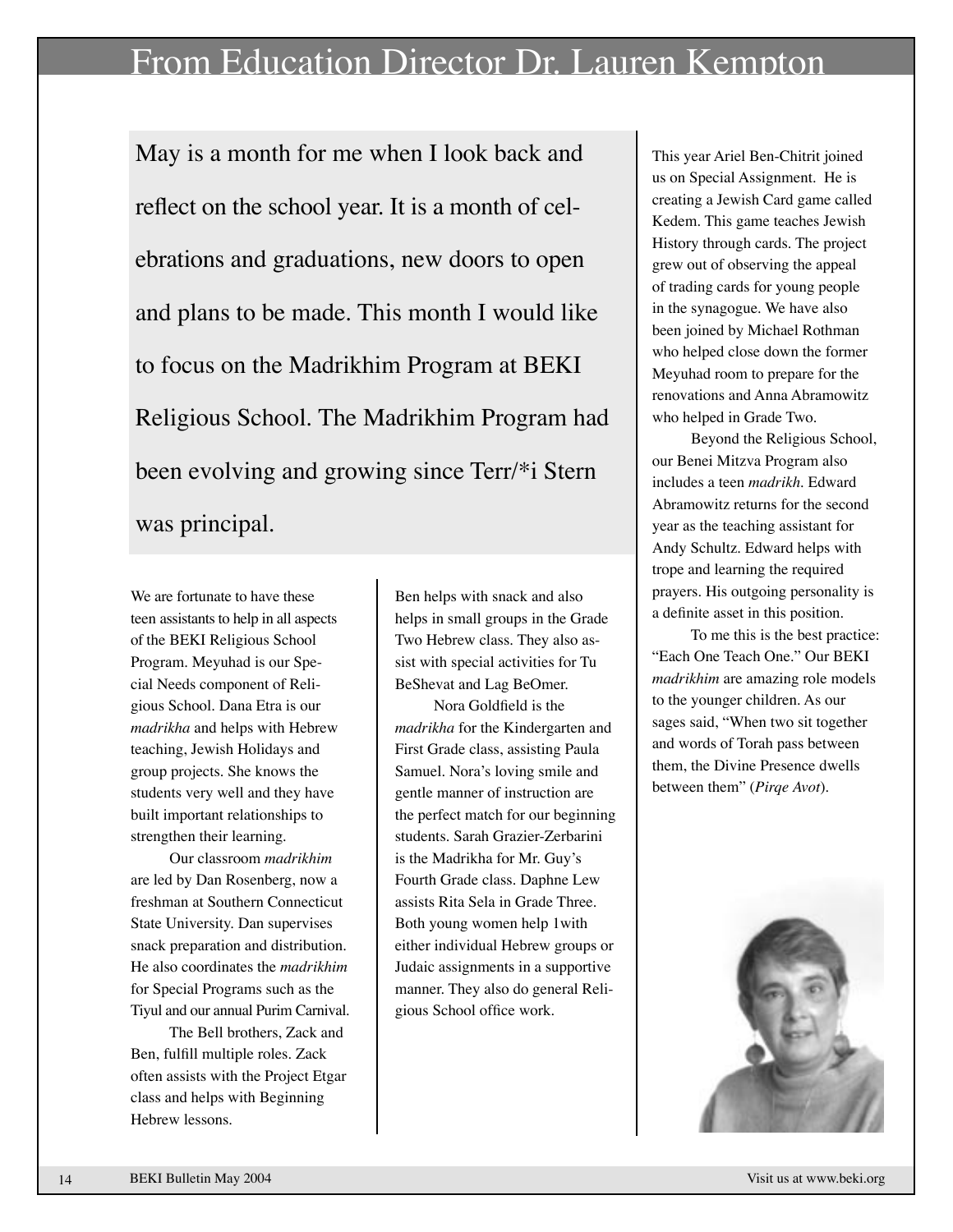# From Education Director Dr. Lauren Kempton

May is a month for me when I look back and reflect on the school year. It is a month of celebrations and graduations, new doors to open and plans to be made. This month I would like to focus on the Madrikhim Program at BEKI Religious School. The Madrikhim Program had been evolving and growing since Terr/\*i Stern was principal.

We are fortunate to have these teen assistants to help in all aspects of the BEKI Religious School Program. Meyuhad is our Special Needs component of Religious School. Dana Etra is our *madrikha* and helps with Hebrew teaching, Jewish Holidays and group projects. She knows the students very well and they have built important relationships to strengthen their learning.

Our classroom *madrikhim*  are led by Dan Rosenberg, now a freshman at Southern Connecticut State University. Dan supervises snack preparation and distribution. He also coordinates the *madrikhim*  for Special Programs such as the Tiyul and our annual Purim Carnival.

The Bell brothers, Zack and Ben, fulfill multiple roles. Zack often assists with the Project Etgar class and helps with Beginning Hebrew lessons.

Ben helps with snack and also helps in small groups in the Grade Two Hebrew class. They also assist with special activities for Tu BeShevat and Lag BeOmer.

Nora Goldfield is the *madrikha* for the Kindergarten and First Grade class, assisting Paula Samuel. Nora's loving smile and gentle manner of instruction are the perfect match for our beginning students. Sarah Grazier-Zerbarini is the Madrikha for Mr. Guy's Fourth Grade class. Daphne Lew assists Rita Sela in Grade Three. Both young women help 1with either individual Hebrew groups or Judaic assignments in a supportive manner. They also do general Religious School office work.

This year Ariel Ben-Chitrit joined us on Special Assignment. He is creating a Jewish Card game called Kedem. This game teaches Jewish History through cards. The project grew out of observing the appeal of trading cards for young people in the synagogue. We have also been joined by Michael Rothman who helped close down the former Meyuhad room to prepare for the renovations and Anna Abramowitz who helped in Grade Two.

Beyond the Religious School, our Benei Mitzva Program also includes a teen *madrikh*. Edward Abramowitz returns for the second year as the teaching assistant for Andy Schultz. Edward helps with trope and learning the required prayers. His outgoing personality is a definite asset in this position.

To me this is the best practice: "Each One Teach One." Our BEKI *madrikhim* are amazing role models to the younger children. As our sages said, "When two sit together and words of Torah pass between them, the Divine Presence dwells between them" (*Pirqe Avot*).

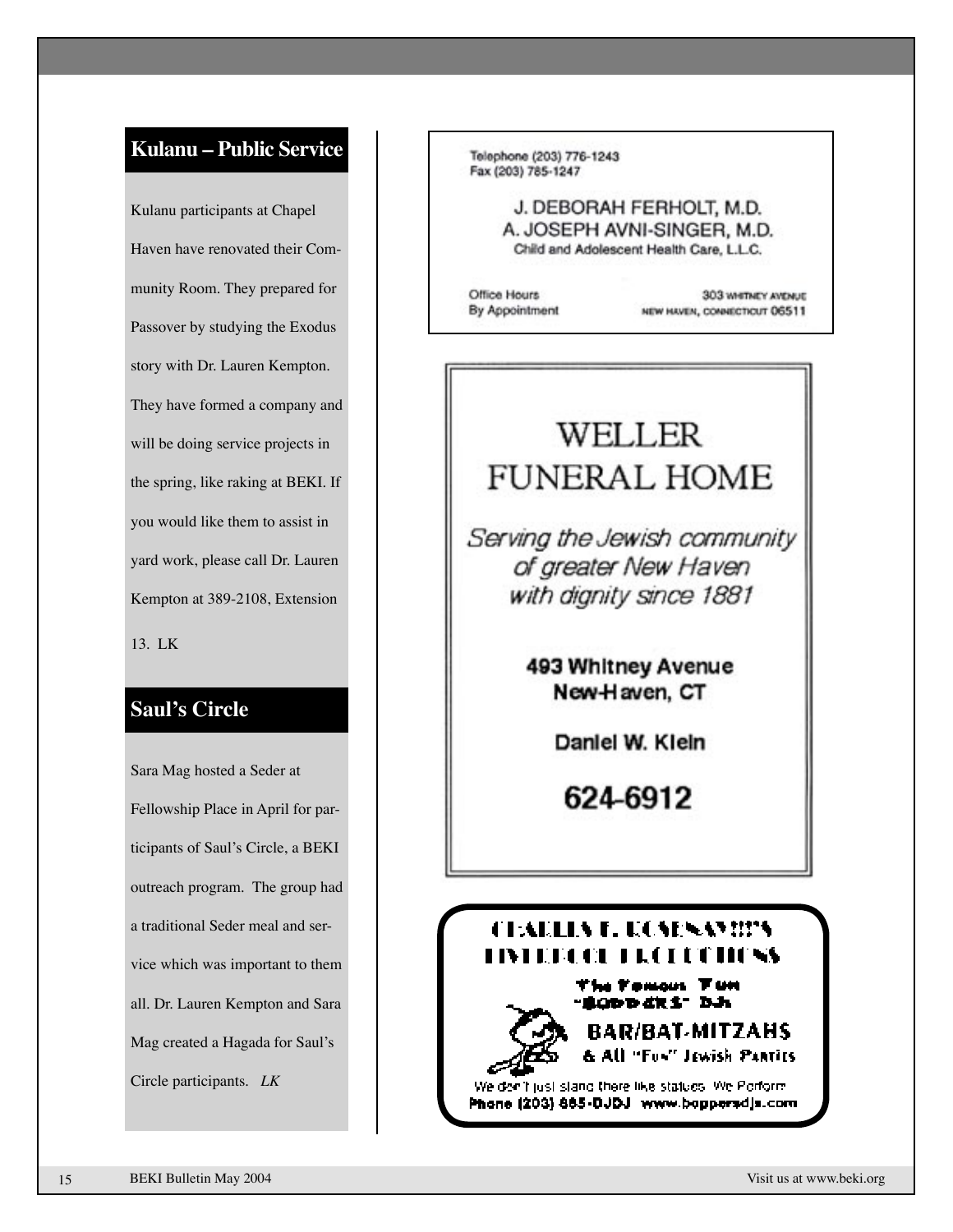## **Kulanu – Public Service**

Kulanu participants at Chapel Haven have renovated their Community Room. They prepared for Passover by studying the Exodus story with Dr. Lauren Kempton. They have formed a company and will be doing service projects in the spring, like raking at BEKI. If you would like them to assist in yard work, please call Dr. Lauren Kempton at 389-2108, Extension 13. LK

### **Saul's Circle**

Sara Mag hosted a Seder at Fellowship Place in April for participants of Saul's Circle, a BEKI outreach program. The group had a traditional Seder meal and service which was important to them all. Dr. Lauren Kempton and Sara Mag created a Hagada for Saul's Circle participants. *LK*

Telephone (203) 776-1243 Fax (203) 785-1247

> J. DEBORAH FERHOLT, M.D. A. JOSEPH AVNI-SINGER, M.D. Child and Adolescent Health Care, L.L.C.

Office Hours By Appointment

303 WHETNEY AVENUE NEW HAVEN, CONNECTICUT 06511

# WELLER **FUNERAL HOME**

Serving the Jewish community of greater New Haven with dignity since 1881

> 493 Whitney Avenue New-Haven, CT

> > Daniel W. Kieln

624-6912

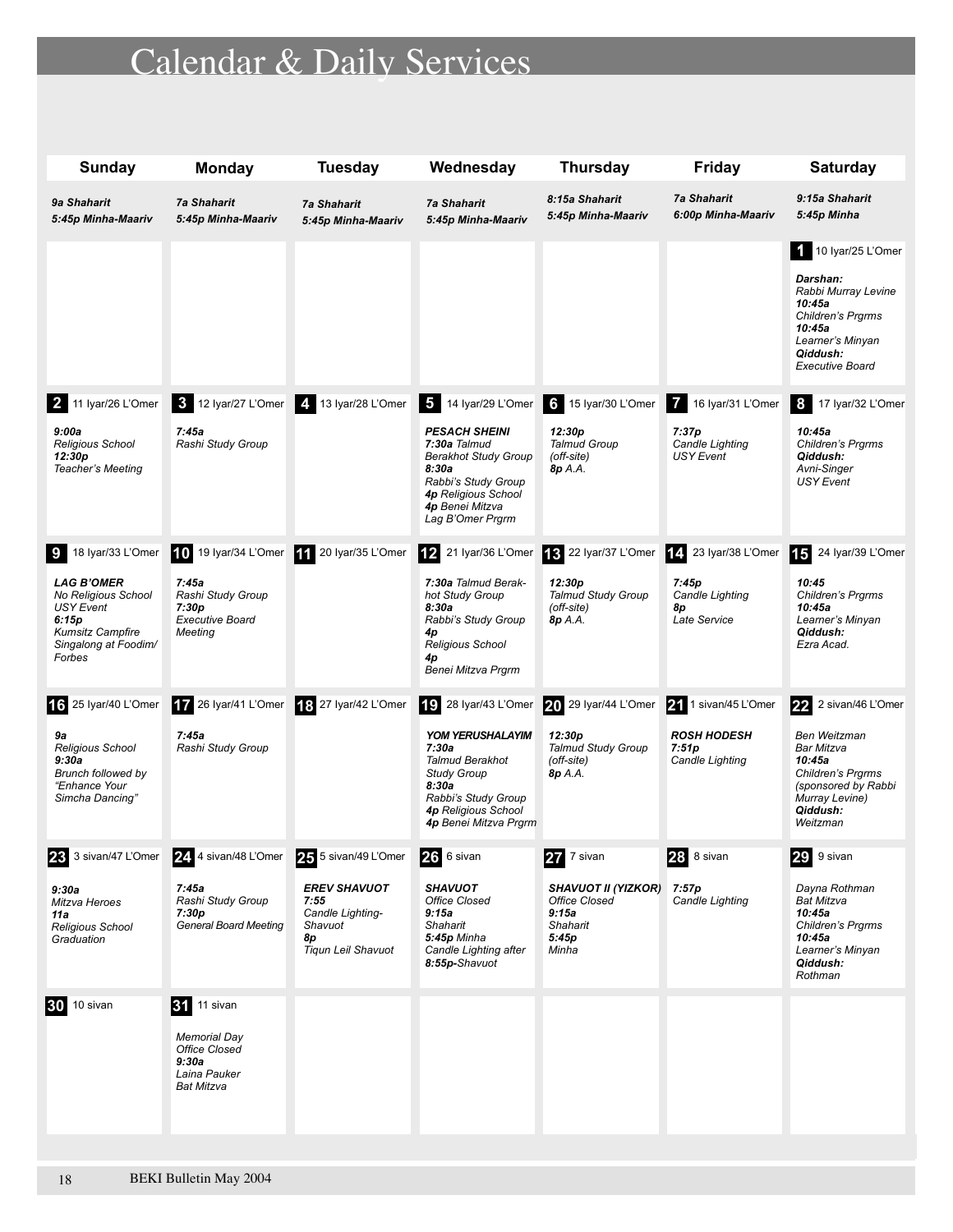# Calendar & Daily Services

| Sunday                                                                                                                                                 | <b>Monday</b>                                                                                     | <b>Tuesday</b>                                                                                                 | Wednesday                                                                                                                                                                                                           | <b>Thursday</b>                                                                                  | <b>Friday</b>                                                           | <b>Saturday</b>                                                                                                                                           |
|--------------------------------------------------------------------------------------------------------------------------------------------------------|---------------------------------------------------------------------------------------------------|----------------------------------------------------------------------------------------------------------------|---------------------------------------------------------------------------------------------------------------------------------------------------------------------------------------------------------------------|--------------------------------------------------------------------------------------------------|-------------------------------------------------------------------------|-----------------------------------------------------------------------------------------------------------------------------------------------------------|
| 9a Shaharit<br>5:45p Minha-Maariv                                                                                                                      | <b>7a Shaharit</b><br>5:45p Minha-Maariv                                                          | <b>7a Shaharit</b><br>5:45p Minha-Maariv                                                                       | <b>7a Shaharit</b><br>5:45p Minha-Maariv                                                                                                                                                                            | 8:15a Shaharit<br>5:45p Minha-Maariv                                                             | <b>7a Shaharit</b><br>6:00p Minha-Maariv                                | 9:15a Shaharit<br>5:45p Minha                                                                                                                             |
|                                                                                                                                                        |                                                                                                   |                                                                                                                |                                                                                                                                                                                                                     |                                                                                                  |                                                                         | $10$ Iyar/25 L'Omer<br>Darshan:<br>Rabbi Murray Levine<br>10:45a<br>Children's Prgrms<br>10:45a<br>Learner's Minyan<br>Qiddush:<br><b>Executive Board</b> |
| 2 11 Iyar/26 L'Omer<br>9:00a<br>Religious School<br>12:30p<br>Teacher's Meeting                                                                        | 7:45a<br>Rashi Study Group                                                                        | 3 12 Iyar/27 L'Omer 4 13 Iyar/28 L'Omer                                                                        | 5 14 Iyar/29 L'Omer 6 15 Iyar/30 L'Omer<br><b>PESACH SHEINI</b><br>7:30a Talmud<br><b>Berakhot Study Group</b><br>8:30a<br>Rabbi's Study Group<br><b>4p Religious School</b><br>4p Benei Mitzva<br>Lag B'Omer Prgrm | 12:30p<br><b>Talmud Group</b><br>(off-site)<br>8p A.A.                                           | 16 Iyar/31 L'Omer<br>7:37p<br>Candle Lighting<br><b>USY</b> Event       | <b>8</b><br>17 Iyar/32 L'Omer<br>10:45a<br>Children's Prgrms<br>Qiddush:<br>Avni-Singer<br><b>USY Event</b>                                               |
| 18 Iyar/33 L'Omer<br>-9<br><b>LAG B'OMER</b><br>No Religious School<br>USY Event<br>6:15p<br><b>Kumsitz Campfire</b><br>Singalong at Foodim/<br>Forbes | 10 19 Iyar/34 L'Omer<br>7:45a<br>Rashi Study Group<br>7:30p<br><b>Executive Board</b><br>Meeting  | 11 20 Iyar/35 L'Omer                                                                                           | 21 Iyar/36 L'Omer<br> 12 <br>7:30a Talmud Berak-<br>hot Study Group<br>8:30a<br>Rabbi's Study Group<br>4p<br><b>Religious School</b><br>4p<br>Benei Mitzva Prgrm                                                    | 13 22 Iyar/37 L'Omer<br>12:30 <sub>p</sub><br><b>Talmud Study Group</b><br>(off-site)<br>8p A.A. | 14. 23 Iyar/38 L'Omer<br>7:45p<br>Candle Lighting<br>8p<br>Late Service | 15<br>24 Iyar/39 L'Omer<br>10:45<br>Children's Prgrms<br>10:45a<br>Learner's Minyan<br>Qiddush:<br>Ezra Acad.                                             |
| 16 25 Iyar/40 L'Omer<br>9a<br>Religious School<br>9:30a<br><b>Brunch followed by</b><br>"Enhance Your<br>Simcha Dancing"                               | 17 26 Iyar/41 L'Omer<br>7:45a<br>Rashi Study Group                                                | 18 27 Iyar/42 L'Omer                                                                                           | <b>19</b><br>28 Iyar/43 L'Omer<br><b>YOM YERUSHALAYIM</b><br>7:30a<br><b>Talmud Berakhot</b><br><b>Study Group</b><br>8:30a<br>Rabbi's Study Group<br><b>4p Religious School</b><br>4p Benei Mitzva Prgrm           | 20 29 Iyar/44 L'Omer<br>12:30p<br><b>Talmud Study Group</b><br>(off-site)<br>8p A.A.             | 21 1 sivan/45 L'Omer<br><b>ROSH HODESH</b><br>7:51p<br>Candle Lighting  | 2 sivan/46 L'Omer<br>22<br>Ben Weitzman<br>Bar Mitzva<br>10:45a<br>Children's Prgrms<br>(sponsored by Rabbi<br>Murray Levine)<br>Qiddush:<br>Weitzman     |
| 23 3 sivan/47 L'Omer<br>9:30a<br>Mitzva Heroes<br>11 a<br>Religious School<br>Graduation                                                               | 24. 4 sivan/48 L'Omer<br>7:45a<br>Rashi Study Group<br>7:30p<br><b>General Board Meeting</b>      | 25 5 sivan/49 L'Omer<br><b>EREV SHAVUOT</b><br>7:55<br>Candle Lighting-<br>Shavuot<br>8p<br>Tiqun Leil Shavuot | 26 6 sivan<br><b>SHAVUOT</b><br>Office Closed<br>9:15a<br>Shaharit<br>5:45p Minha<br>Candle Lighting after<br>8:55p-Shavuot                                                                                         | 27<br>7 sivan<br>SHAVUOT II (YIZKOR)<br>Office Closed<br>9:15a<br>Shaharit<br>5:45p<br>Minha     | 28<br>8 sivan<br>7:57p<br>Candle Lighting                               | 29<br>9 sivan<br>Dayna Rothman<br>Bat Mitzva<br>10:45a<br>Children's Prgrms<br>10:45a<br>Learner's Minyan<br>Qiddush:<br>Rothman                          |
| <b>30</b> 10 sivan                                                                                                                                     | <b>31</b> 11 sivan<br><b>Memorial Day</b><br>Office Closed<br>9:30a<br>Laina Pauker<br>Bat Mitzva |                                                                                                                |                                                                                                                                                                                                                     |                                                                                                  |                                                                         |                                                                                                                                                           |